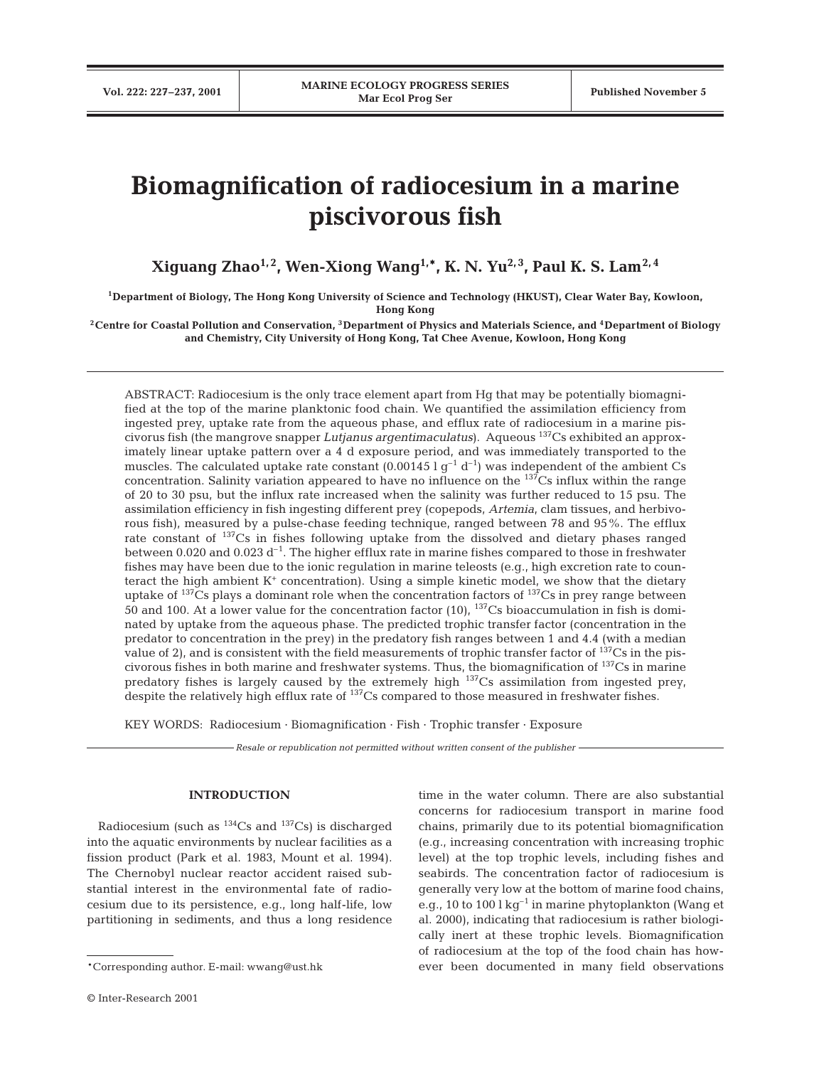# **Biomagnification of radiocesium in a marine piscivorous fish**

**Xiguang Zhao1, 2, Wen-Xiong Wang1,\*, K. N. Yu2, 3, Paul K. S. Lam2, 4**

**1Department of Biology, The Hong Kong University of Science and Technology (HKUST), Clear Water Bay, Kowloon, Hong Kong**

**2Centre for Coastal Pollution and Conservation, 3Department of Physics and Materials Science, and 4Department of Biology and Chemistry, City University of Hong Kong, Tat Chee Avenue, Kowloon, Hong Kong**

ABSTRACT: Radiocesium is the only trace element apart from Hg that may be potentially biomagnified at the top of the marine planktonic food chain. We quantified the assimilation efficiency from ingested prey, uptake rate from the aqueous phase, and efflux rate of radiocesium in a marine piscivorus fish (the mangrove snapper *Lutjanus argentimaculatus*). Aqueous 137Cs exhibited an approximately linear uptake pattern over a 4 d exposure period, and was immediately transported to the muscles. The calculated uptake rate constant  $(0.00145 \lg^{-1} d^{-1})$  was independent of the ambient Cs concentration. Salinity variation appeared to have no influence on the <sup>137</sup>Cs influx within the range of 20 to 30 psu, but the influx rate increased when the salinity was further reduced to 15 psu. The assimilation efficiency in fish ingesting different prey (copepods, *Artemia*, clam tissues, and herbivorous fish), measured by a pulse-chase feeding technique, ranged between 78 and 95%. The efflux rate constant of 137Cs in fishes following uptake from the dissolved and dietary phases ranged between 0.020 and 0.023  $d^{-1}$ . The higher efflux rate in marine fishes compared to those in freshwater fishes may have been due to the ionic regulation in marine teleosts (e.g., high excretion rate to counteract the high ambient  $K^+$  concentration). Using a simple kinetic model, we show that the dietary uptake of <sup>137</sup>Cs plays a dominant role when the concentration factors of <sup>137</sup>Cs in prey range between  $\overline{50}$  and 100. At a lower value for the concentration factor (10), <sup>137</sup>Cs bioaccumulation in fish is dominated by uptake from the aqueous phase. The predicted trophic transfer factor (concentration in the predator to concentration in the prey) in the predatory fish ranges between 1 and 4.4 (with a median value of 2), and is consistent with the field measurements of trophic transfer factor of  $137Cs$  in the piscivorous fishes in both marine and freshwater systems. Thus, the biomagnification of 137Cs in marine predatory fishes is largely caused by the extremely high <sup>137</sup>Cs assimilation from ingested prey, despite the relatively high efflux rate of <sup>137</sup>Cs compared to those measured in freshwater fishes.

KEY WORDS: Radiocesium · Biomagnification · Fish · Trophic transfer · Exposure

*Resale or republication not permitted without written consent of the publisher*

### **INTRODUCTION**

Radiocesium (such as  $^{134}Cs$  and  $^{137}Cs$ ) is discharged into the aquatic environments by nuclear facilities as a fission product (Park et al. 1983, Mount et al. 1994). The Chernobyl nuclear reactor accident raised substantial interest in the environmental fate of radiocesium due to its persistence, e.g., long half-life, low partitioning in sediments, and thus a long residence

time in the water column. There are also substantial concerns for radiocesium transport in marine food chains, primarily due to its potential biomagnification (e.g., increasing concentration with increasing trophic level) at the top trophic levels, including fishes and seabirds. The concentration factor of radiocesium is generally very low at the bottom of marine food chains, e.g., 10 to 100  $\lg^{-1}$  in marine phytoplankton (Wang et al. 2000), indicating that radiocesium is rather biologically inert at these trophic levels. Biomagnification of radiocesium at the top of the food chain has however been documented in many field observations

<sup>\*</sup>Corresponding author. E-mail: wwang@ust.hk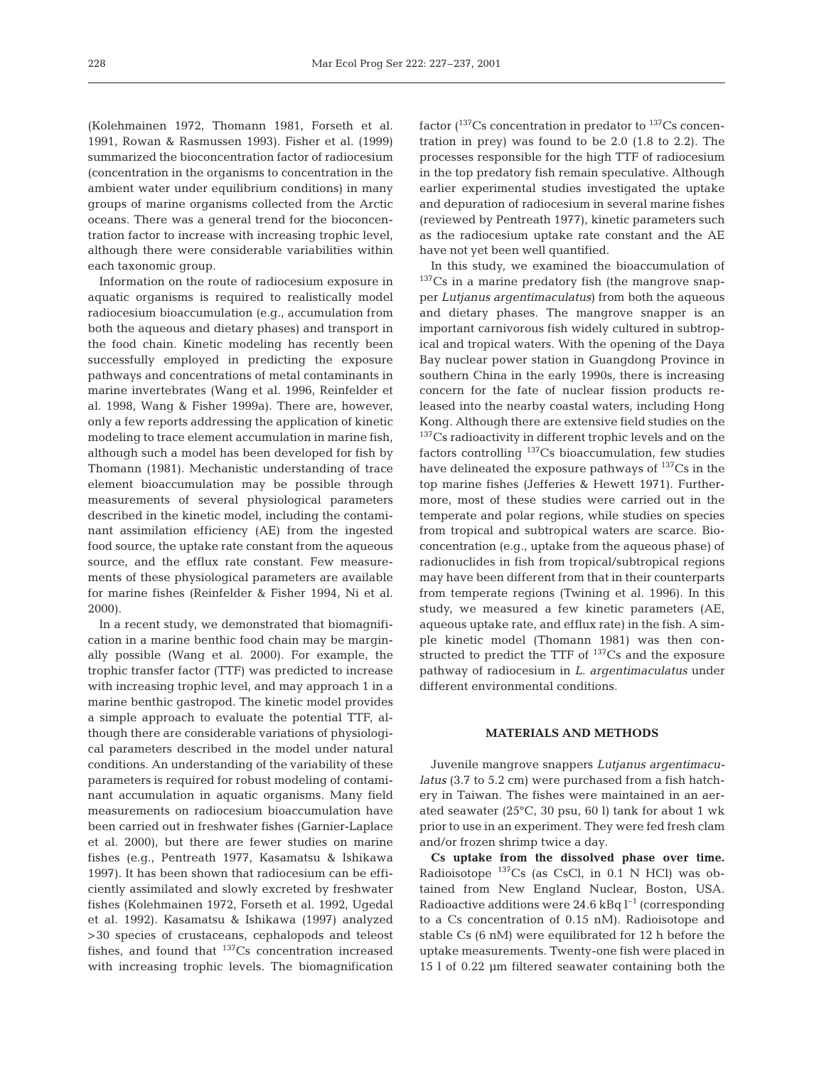(Kolehmainen 1972, Thomann 1981, Forseth et al. 1991, Rowan & Rasmussen 1993). Fisher et al. (1999) summarized the bioconcentration factor of radiocesium (concentration in the organisms to concentration in the ambient water under equilibrium conditions) in many groups of marine organisms collected from the Arctic oceans. There was a general trend for the bioconcentration factor to increase with increasing trophic level, although there were considerable variabilities within each taxonomic group.

Information on the route of radiocesium exposure in aquatic organisms is required to realistically model radiocesium bioaccumulation (e.g., accumulation from both the aqueous and dietary phases) and transport in the food chain. Kinetic modeling has recently been successfully employed in predicting the exposure pathways and concentrations of metal contaminants in marine invertebrates (Wang et al. 1996, Reinfelder et al. 1998, Wang & Fisher 1999a). There are, however, only a few reports addressing the application of kinetic modeling to trace element accumulation in marine fish, although such a model has been developed for fish by Thomann (1981). Mechanistic understanding of trace element bioaccumulation may be possible through measurements of several physiological parameters described in the kinetic model, including the contaminant assimilation efficiency (AE) from the ingested food source, the uptake rate constant from the aqueous source, and the efflux rate constant. Few measurements of these physiological parameters are available for marine fishes (Reinfelder & Fisher 1994, Ni et al. 2000).

In a recent study, we demonstrated that biomagnification in a marine benthic food chain may be marginally possible (Wang et al. 2000). For example, the trophic transfer factor (TTF) was predicted to increase with increasing trophic level, and may approach 1 in a marine benthic gastropod. The kinetic model provides a simple approach to evaluate the potential TTF, although there are considerable variations of physiological parameters described in the model under natural conditions. An understanding of the variability of these parameters is required for robust modeling of contaminant accumulation in aquatic organisms. Many field measurements on radiocesium bioaccumulation have been carried out in freshwater fishes (Garnier-Laplace et al. 2000), but there are fewer studies on marine fishes (e.g., Pentreath 1977, Kasamatsu & Ishikawa 1997). It has been shown that radiocesium can be efficiently assimilated and slowly excreted by freshwater fishes (Kolehmainen 1972, Forseth et al. 1992, Ugedal et al. 1992). Kasamatsu & Ishikawa (1997) analyzed >30 species of crustaceans, cephalopods and teleost fishes, and found that  $137Cs$  concentration increased with increasing trophic levels. The biomagnification factor  $(137)$ Cs concentration in predator to  $137$ Cs concentration in prey) was found to be 2.0 (1.8 to 2.2). The processes responsible for the high TTF of radiocesium in the top predatory fish remain speculative. Although earlier experimental studies investigated the uptake and depuration of radiocesium in several marine fishes (reviewed by Pentreath 1977), kinetic parameters such as the radiocesium uptake rate constant and the AE have not yet been well quantified.

In this study, we examined the bioaccumulation of <sup>137</sup>Cs in a marine predatory fish (the mangrove snapper *Lutjanus argentimaculatus*) from both the aqueous and dietary phases. The mangrove snapper is an important carnivorous fish widely cultured in subtropical and tropical waters. With the opening of the Daya Bay nuclear power station in Guangdong Province in southern China in the early 1990s, there is increasing concern for the fate of nuclear fission products released into the nearby coastal waters, including Hong Kong. Although there are extensive field studies on the <sup>137</sup>Cs radioactivity in different trophic levels and on the factors controlling  $137$ Cs bioaccumulation, few studies have delineated the exposure pathways of  $137Cs$  in the top marine fishes (Jefferies & Hewett 1971). Furthermore, most of these studies were carried out in the temperate and polar regions, while studies on species from tropical and subtropical waters are scarce. Bioconcentration (e.g., uptake from the aqueous phase) of radionuclides in fish from tropical/subtropical regions may have been different from that in their counterparts from temperate regions (Twining et al. 1996). In this study, we measured a few kinetic parameters (AE, aqueous uptake rate, and efflux rate) in the fish. A simple kinetic model (Thomann 1981) was then constructed to predict the TTF of  $^{137}Cs$  and the exposure pathway of radiocesium in *L. argentimaculatus* under different environmental conditions.

### **MATERIALS AND METHODS**

Juvenile mangrove snappers *Lutjanus argentimaculatus* (3.7 to 5.2 cm) were purchased from a fish hatchery in Taiwan. The fishes were maintained in an aerated seawater (25°C, 30 psu, 60 l) tank for about 1 wk prior to use in an experiment. They were fed fresh clam and/or frozen shrimp twice a day.

**Cs uptake from the dissolved phase over time.** Radioisotope  $^{137}Cs$  (as CsCl, in 0.1 N HCl) was obtained from New England Nuclear, Boston, USA. Radioactive additions were  $24.6$  kBq  $l^{-1}$  (corresponding to a Cs concentration of 0.15 nM). Radioisotope and stable Cs (6 nM) were equilibrated for 12 h before the uptake measurements. Twenty-one fish were placed in 15 l of 0.22 µm filtered seawater containing both the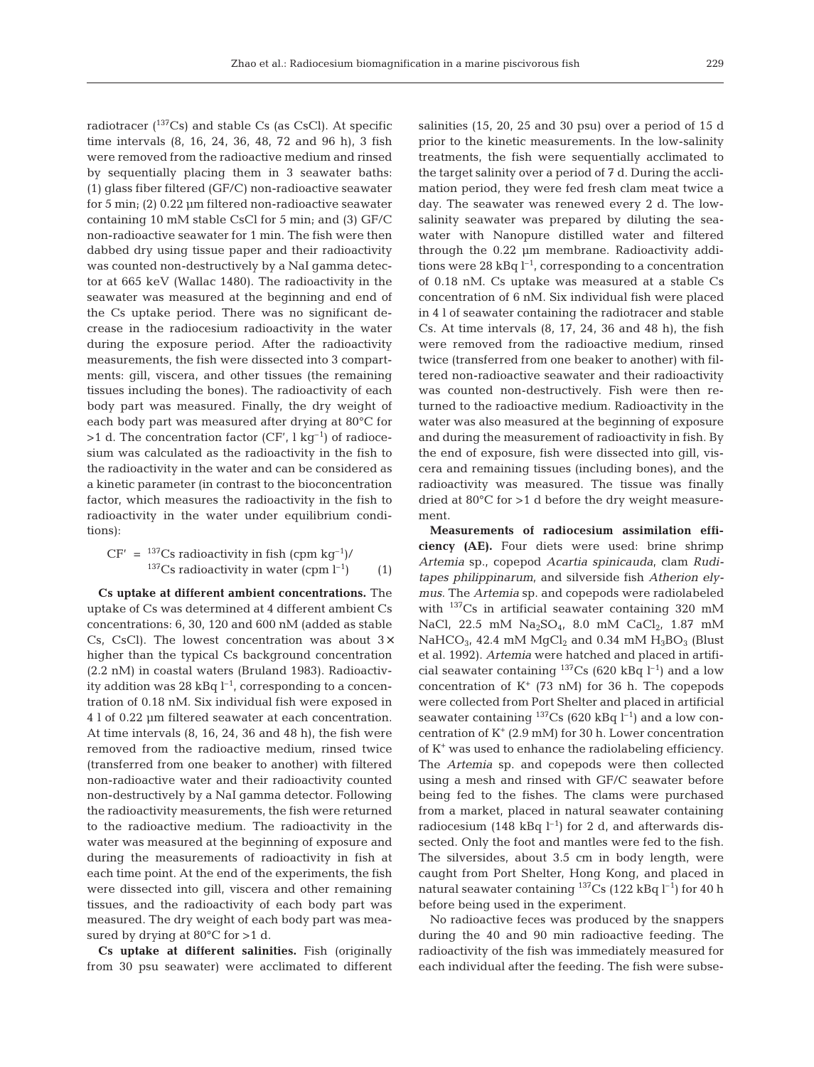radiotracer  $(^{137}Cs)$  and stable Cs (as CsCl). At specific time intervals (8, 16, 24, 36, 48, 72 and 96 h), 3 fish were removed from the radioactive medium and rinsed by sequentially placing them in 3 seawater baths: (1) glass fiber filtered (GF/C) non-radioactive seawater for 5 min; (2) 0.22 µm filtered non-radioactive seawater containing 10 mM stable CsCl for 5 min; and (3) GF/C non-radioactive seawater for 1 min. The fish were then dabbed dry using tissue paper and their radioactivity was counted non-destructively by a NaI gamma detector at 665 keV (Wallac 1480). The radioactivity in the seawater was measured at the beginning and end of the Cs uptake period. There was no significant decrease in the radiocesium radioactivity in the water during the exposure period. After the radioactivity measurements, the fish were dissected into 3 compartments: gill, viscera, and other tissues (the remaining tissues including the bones). The radioactivity of each body part was measured. Finally, the dry weight of each body part was measured after drying at 80°C for  $>1$  d. The concentration factor (CF', l kg<sup>-1</sup>) of radiocesium was calculated as the radioactivity in the fish to the radioactivity in the water and can be considered as a kinetic parameter (in contrast to the bioconcentration factor, which measures the radioactivity in the fish to radioactivity in the water under equilibrium conditions):

$$
CF' = \frac{137}{137}Cs \text{ radioactivity in fish (cpm kg}^{-1})/
$$
  

$$
\frac{137}{137}Cs \text{ radioactivity in water (cpm l}^{-1})
$$
 (1)

**Cs uptake at different ambient concentrations.** The uptake of Cs was determined at 4 different ambient Cs concentrations: 6, 30, 120 and 600 nM (added as stable Cs, CsCl). The lowest concentration was about  $3\times$ higher than the typical Cs background concentration (2.2 nM) in coastal waters (Bruland 1983). Radioactivity addition was 28 kBq  $l^{-1}$ , corresponding to a concentration of 0.18 nM. Six individual fish were exposed in 4 l of 0.22 µm filtered seawater at each concentration. At time intervals (8, 16, 24, 36 and 48 h), the fish were removed from the radioactive medium, rinsed twice (transferred from one beaker to another) with filtered non-radioactive water and their radioactivity counted non-destructively by a NaI gamma detector. Following the radioactivity measurements, the fish were returned to the radioactive medium. The radioactivity in the water was measured at the beginning of exposure and during the measurements of radioactivity in fish at each time point. At the end of the experiments, the fish were dissected into gill, viscera and other remaining tissues, and the radioactivity of each body part was measured. The dry weight of each body part was measured by drying at  $80^{\circ}$ C for  $>1$  d.

**Cs uptake at different salinities.** Fish (originally from 30 psu seawater) were acclimated to different

salinities (15, 20, 25 and 30 psu) over a period of 15 d prior to the kinetic measurements. In the low-salinity treatments, the fish were sequentially acclimated to the target salinity over a period of 7 d. During the acclimation period, they were fed fresh clam meat twice a day. The seawater was renewed every 2 d. The lowsalinity seawater was prepared by diluting the seawater with Nanopure distilled water and filtered through the 0.22 µm membrane. Radioactivity additions were 28 kBq  $l^{-1}$ , corresponding to a concentration of 0.18 nM. Cs uptake was measured at a stable Cs concentration of 6 nM. Six individual fish were placed in 4 l of seawater containing the radiotracer and stable Cs. At time intervals (8, 17, 24, 36 and 48 h), the fish were removed from the radioactive medium, rinsed twice (transferred from one beaker to another) with filtered non-radioactive seawater and their radioactivity was counted non-destructively. Fish were then returned to the radioactive medium. Radioactivity in the water was also measured at the beginning of exposure and during the measurement of radioactivity in fish. By the end of exposure, fish were dissected into gill, viscera and remaining tissues (including bones), and the radioactivity was measured. The tissue was finally dried at 80°C for >1 d before the dry weight measurement.

**Measurements of radiocesium assimilation efficiency (AE).** Four diets were used: brine shrimp *Artemia* sp., copepod *Acartia spinicauda*, clam *Ruditapes philippinarum*, and silverside fish *Atherion elymus*. The *Artemia* sp. and copepods were radiolabeled with 137Cs in artificial seawater containing 320 mM NaCl, 22.5 mM  $Na_2SO_4$ , 8.0 mM  $CaCl_2$ , 1.87 mM NaHCO<sub>3</sub>, 42.4 mM MgCl<sub>2</sub> and 0.34 mM H<sub>3</sub>BO<sub>3</sub> (Blust et al. 1992). *Artemia* were hatched and placed in artificial seawater containing <sup>137</sup>Cs (620 kBq  $l^{-1}$ ) and a low concentration of  $K^+$  (73 nM) for 36 h. The copepods were collected from Port Shelter and placed in artificial seawater containing  $^{137}Cs$  (620 kBq l<sup>-1</sup>) and a low concentration of  $K^+$  (2.9 mM) for 30 h. Lower concentration of  $K^*$  was used to enhance the radiolabeling efficiency. The *Artemia* sp. and copepods were then collected using a mesh and rinsed with GF/C seawater before being fed to the fishes. The clams were purchased from a market, placed in natural seawater containing radiocesium (148 kBq  $l^{-1}$ ) for 2 d, and afterwards dissected. Only the foot and mantles were fed to the fish. The silversides, about 3.5 cm in body length, were caught from Port Shelter, Hong Kong, and placed in natural seawater containing  $^{137}Cs$  (122 kBq l<sup>-1</sup>) for 40 h before being used in the experiment.

No radioactive feces was produced by the snappers during the 40 and 90 min radioactive feeding. The radioactivity of the fish was immediately measured for each individual after the feeding. The fish were subse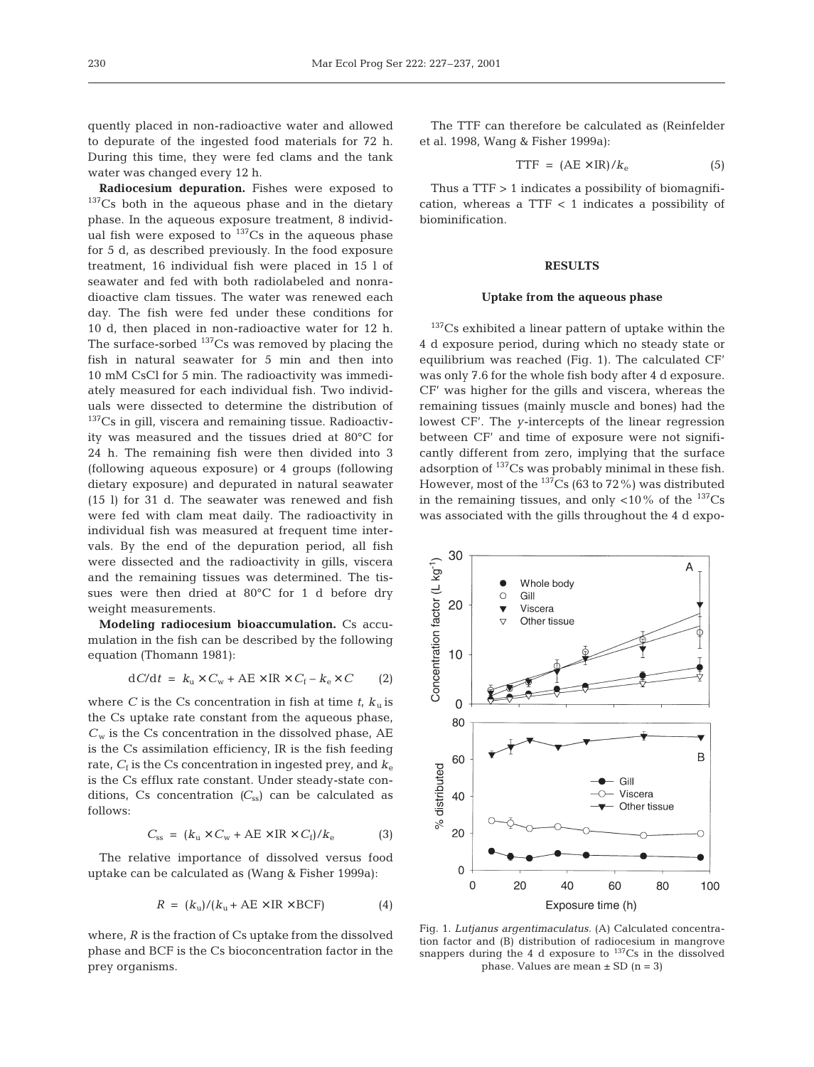quently placed in non-radioactive water and allowed to depurate of the ingested food materials for 72 h. During this time, they were fed clams and the tank water was changed every 12 h.

**Radiocesium depuration.** Fishes were exposed to  $137Cs$  both in the aqueous phase and in the dietary phase. In the aqueous exposure treatment, 8 individual fish were exposed to  $137$ Cs in the aqueous phase for 5 d, as described previously. In the food exposure treatment, 16 individual fish were placed in 15 l of seawater and fed with both radiolabeled and nonradioactive clam tissues. The water was renewed each day. The fish were fed under these conditions for 10 d, then placed in non-radioactive water for 12 h. The surface-sorbed  $^{137}Cs$  was removed by placing the fish in natural seawater for 5 min and then into 10 mM CsCl for 5 min. The radioactivity was immediately measured for each individual fish. Two individuals were dissected to determine the distribution of <sup>137</sup>Cs in gill, viscera and remaining tissue. Radioactivity was measured and the tissues dried at 80°C for 24 h. The remaining fish were then divided into 3 (following aqueous exposure) or 4 groups (following dietary exposure) and depurated in natural seawater (15 l) for 31 d. The seawater was renewed and fish were fed with clam meat daily. The radioactivity in individual fish was measured at frequent time intervals. By the end of the depuration period, all fish were dissected and the radioactivity in gills, viscera and the remaining tissues was determined. The tissues were then dried at 80°C for 1 d before dry weight measurements.

**Modeling radiocesium bioaccumulation.** Cs accumulation in the fish can be described by the following equation (Thomann 1981):

$$
dC/dt = k_{\rm u} \times C_{\rm w} + AE \times IR \times C_{\rm f} - k_{\rm e} \times C \qquad (2)
$$

where *C* is the Cs concentration in fish at time  $t$ ,  $k<sub>u</sub>$  is the Cs uptake rate constant from the aqueous phase,  $C_w$  is the Cs concentration in the dissolved phase,  $AE$ is the Cs assimilation efficiency, IR is the fish feeding rate,  $C_f$  is the Cs concentration in ingested prey, and  $k_e$ is the Cs efflux rate constant. Under steady-state conditions, Cs concentration  $(C_{ss})$  can be calculated as follows:

$$
C_{ss} = (k_{\rm u} \times C_{\rm w} + A E \times IR \times C_{\rm f})/k_{\rm e} \tag{3}
$$

The relative importance of dissolved versus food uptake can be calculated as (Wang & Fisher 1999a):

$$
R = (k_{\rm u})/(k_{\rm u} + \rm AE \times IR \times BCF) \tag{4}
$$

where, *R* is the fraction of Cs uptake from the dissolved phase and BCF is the Cs bioconcentration factor in the prey organisms.

The TTF can therefore be calculated as (Reinfelder et al. 1998, Wang & Fisher 1999a):

$$
TTF = (AE \times IR)/k_e \tag{5}
$$

Thus a TTF > 1 indicates a possibility of biomagnification, whereas a TTF  $<$  1 indicates a possibility of biominification.

### **RESULTS**

#### **Uptake from the aqueous phase**

<sup>137</sup>Cs exhibited a linear pattern of uptake within the 4 d exposure period, during which no steady state or equilibrium was reached (Fig. 1). The calculated CF' was only 7.6 for the whole fish body after 4 d exposure. CF' was higher for the gills and viscera, whereas the remaining tissues (mainly muscle and bones) had the lowest CF'. The *y*-intercepts of the linear regression between CF' and time of exposure were not significantly different from zero, implying that the surface adsorption of 137Cs was probably minimal in these fish. However, most of the  $^{137}Cs$  (63 to 72%) was distributed in the remaining tissues, and only  $\langle 10\%$  of the  $^{137}Cs$ was associated with the gills throughout the 4 d expo-



Fig. 1. *Lutjanus argentimaculatus.* (A) Calculated concentration factor and (B) distribution of radiocesium in mangrove snappers during the 4 d exposure to  $137$ Cs in the dissolved phase. Values are mean  $\pm$  SD (n = 3)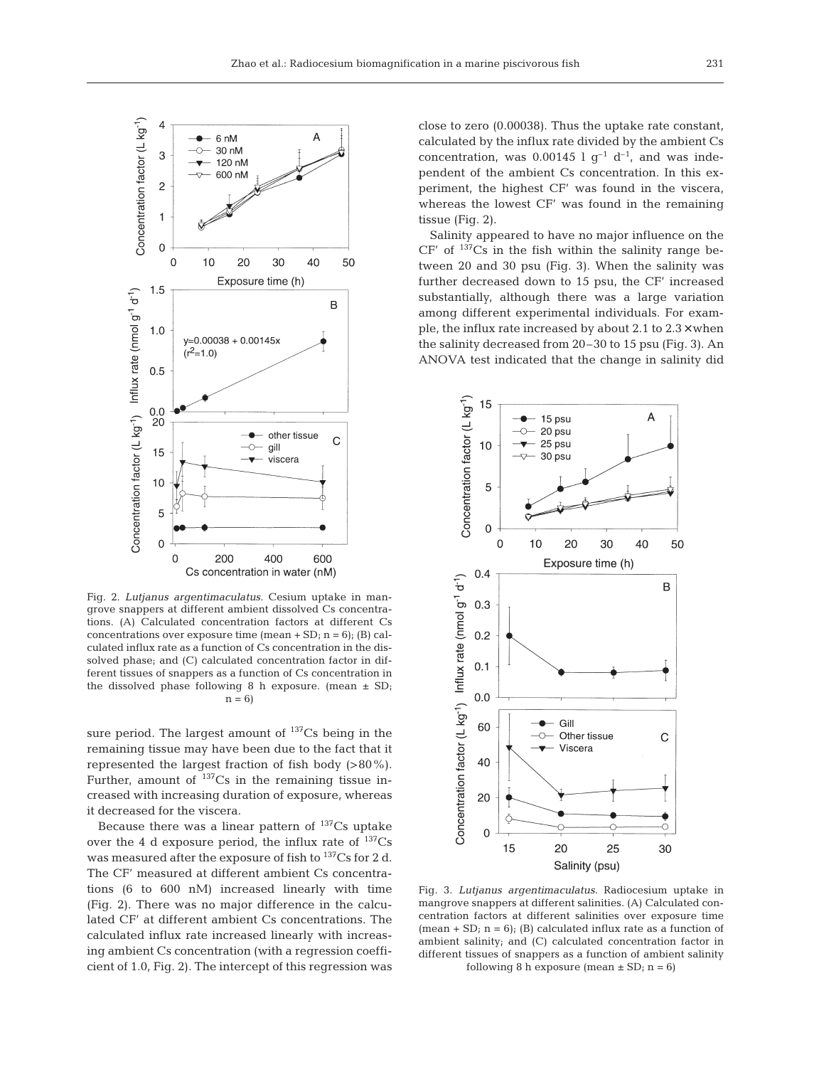

Fig. 2. *Lutjanus argentimaculatus.* Cesium uptake in mangrove snappers at different ambient dissolved Cs concentrations. (A) Calculated concentration factors at different Cs concentrations over exposure time (mean  $+$  SD; n = 6); (B) calculated influx rate as a function of Cs concentration in the dissolved phase; and (C) calculated concentration factor in different tissues of snappers as a function of Cs concentration in the dissolved phase following 8 h exposure. (mean  $\pm$  SD;  $n = 6$ 

sure period. The largest amount of  $^{137}Cs$  being in the remaining tissue may have been due to the fact that it represented the largest fraction of fish body (>80%). Further, amount of  $137Cs$  in the remaining tissue increased with increasing duration of exposure, whereas it decreased for the viscera.

Because there was a linear pattern of  $137Cs$  uptake over the 4 d exposure period, the influx rate of  $^{137}Cs$ was measured after the exposure of fish to  $137Cs$  for 2 d. The CF' measured at different ambient Cs concentrations (6 to 600 nM) increased linearly with time (Fig. 2). There was no major difference in the calculated CF' at different ambient Cs concentrations. The calculated influx rate increased linearly with increasing ambient Cs concentration (with a regression coefficient of 1.0, Fig. 2). The intercept of this regression was

close to zero (0.00038). Thus the uptake rate constant, calculated by the influx rate divided by the ambient Cs concentration, was 0.00145 l  $g^{-1}$  d<sup>-1</sup>, and was independent of the ambient Cs concentration. In this experiment, the highest CF' was found in the viscera, whereas the lowest CF' was found in the remaining tissue (Fig. 2).

Salinity appeared to have no major influence on the  $CF'$  of  $137Cs$  in the fish within the salinity range between 20 and 30 psu (Fig. 3). When the salinity was further decreased down to 15 psu, the CF' increased substantially, although there was a large variation among different experimental individuals. For example, the influx rate increased by about 2.1 to 2.3× when the salinity decreased from 20–30 to 15 psu (Fig. 3). An ANOVA test indicated that the change in salinity did



Fig. 3. *Lutjanus argentimaculatus.* Radiocesium uptake in mangrove snappers at different salinities. (A) Calculated concentration factors at different salinities over exposure time (mean + SD;  $n = 6$ ); (B) calculated influx rate as a function of ambient salinity; and (C) calculated concentration factor in different tissues of snappers as a function of ambient salinity following 8 h exposure (mean  $\pm$  SD; n = 6)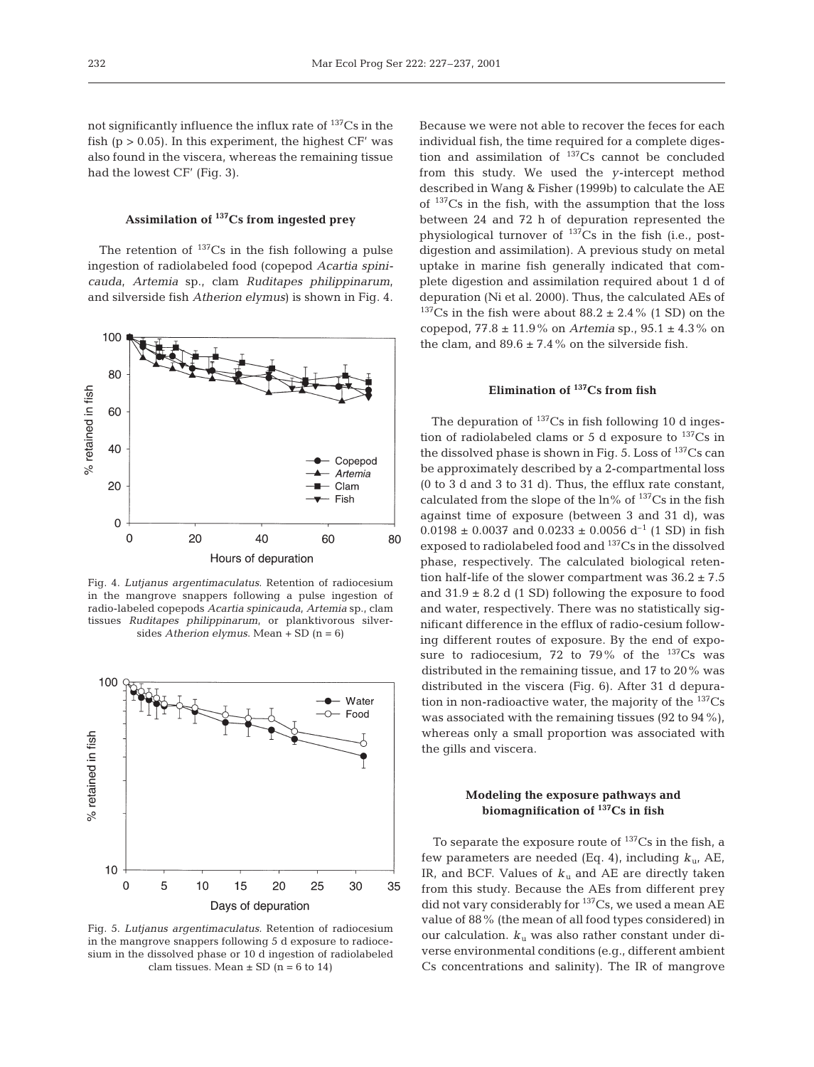not significantly influence the influx rate of  $137Cs$  in the fish ( $p > 0.05$ ). In this experiment, the highest  $CF'$  was also found in the viscera, whereas the remaining tissue had the lowest CF' (Fig. 3).

## **Assimilation of 137Cs from ingested prey**

The retention of  $^{137}Cs$  in the fish following a pulse ingestion of radiolabeled food (copepod *Acartia spinicauda*, *Artemia* sp., clam *Ruditapes philippinarum*, and silverside fish *Atherion elymus*) is shown in Fig. 4.



Fig. 4. *Lutjanus argentimaculatus*. Retention of radiocesium in the mangrove snappers following a pulse ingestion of radio-labeled copepods *Acartia spinicauda*, *Artemia* sp., clam tissues *Ruditapes philippinarum*, or planktivorous silversides *Atherion elymus*. Mean + SD (n = 6)



Fig. 5. *Lutjanus argentimaculatus.* Retention of radiocesium in the mangrove snappers following 5 d exposure to radiocesium in the dissolved phase or 10 d ingestion of radiolabeled clam tissues. Mean  $\pm$  SD (n = 6 to 14)

Because we were not able to recover the feces for each individual fish, the time required for a complete digestion and assimilation of  $137$ Cs cannot be concluded from this study. We used the *y*-intercept method described in Wang & Fisher (1999b) to calculate the AE of  $137Cs$  in the fish, with the assumption that the loss between 24 and 72 h of depuration represented the physiological turnover of  $^{137}Cs$  in the fish (i.e., postdigestion and assimilation). A previous study on metal uptake in marine fish generally indicated that complete digestion and assimilation required about 1 d of depuration (Ni et al. 2000). Thus, the calculated AEs of  $137Cs$  in the fish were about  $88.2 \pm 2.4\%$  (1 SD) on the copepod, 77.8 ± 11.9% on *Artemia* sp., 95.1 ± 4.3% on the clam, and  $89.6 \pm 7.4\%$  on the silverside fish.

### **Elimination of 137Cs from fish**

The depuration of  $^{137}Cs$  in fish following 10 d ingestion of radiolabeled clams or 5 d exposure to  $^{137}Cs$  in the dissolved phase is shown in Fig. 5. Loss of  $^{137}Cs$  can be approximately described by a 2-compartmental loss (0 to 3 d and 3 to 31 d). Thus, the efflux rate constant, calculated from the slope of the  $ln\%$  of  $137Cs$  in the fish against time of exposure (between 3 and 31 d), was  $0.0198 \pm 0.0037$  and  $0.0233 \pm 0.0056$  d<sup>-1</sup> (1 SD) in fish exposed to radiolabeled food and 137Cs in the dissolved phase, respectively. The calculated biological retention half-life of the slower compartment was  $36.2 \pm 7.5$ and  $31.9 \pm 8.2$  d (1 SD) following the exposure to food and water, respectively. There was no statistically significant difference in the efflux of radio-cesium following different routes of exposure. By the end of exposure to radiocesium, 72 to 79% of the  $137Cs$  was distributed in the remaining tissue, and 17 to 20% was distributed in the viscera (Fig. 6). After 31 d depuration in non-radioactive water, the majority of the  $^{137}Cs$ was associated with the remaining tissues (92 to 94%), whereas only a small proportion was associated with the gills and viscera.

### **Modeling the exposure pathways and biomagnification of 137Cs in fish**

To separate the exposure route of  $137Cs$  in the fish, a few parameters are needed (Eq. 4), including  $k_{\mu}$ , AE, IR, and BCF. Values of  $k_u$  and AE are directly taken from this study. Because the AEs from different prey did not vary considerably for <sup>137</sup>Cs, we used a mean AE value of 88% (the mean of all food types considered) in our calculation.  $k_{\rm u}$  was also rather constant under diverse environmental conditions (e.g., different ambient Cs concentrations and salinity). The IR of mangrove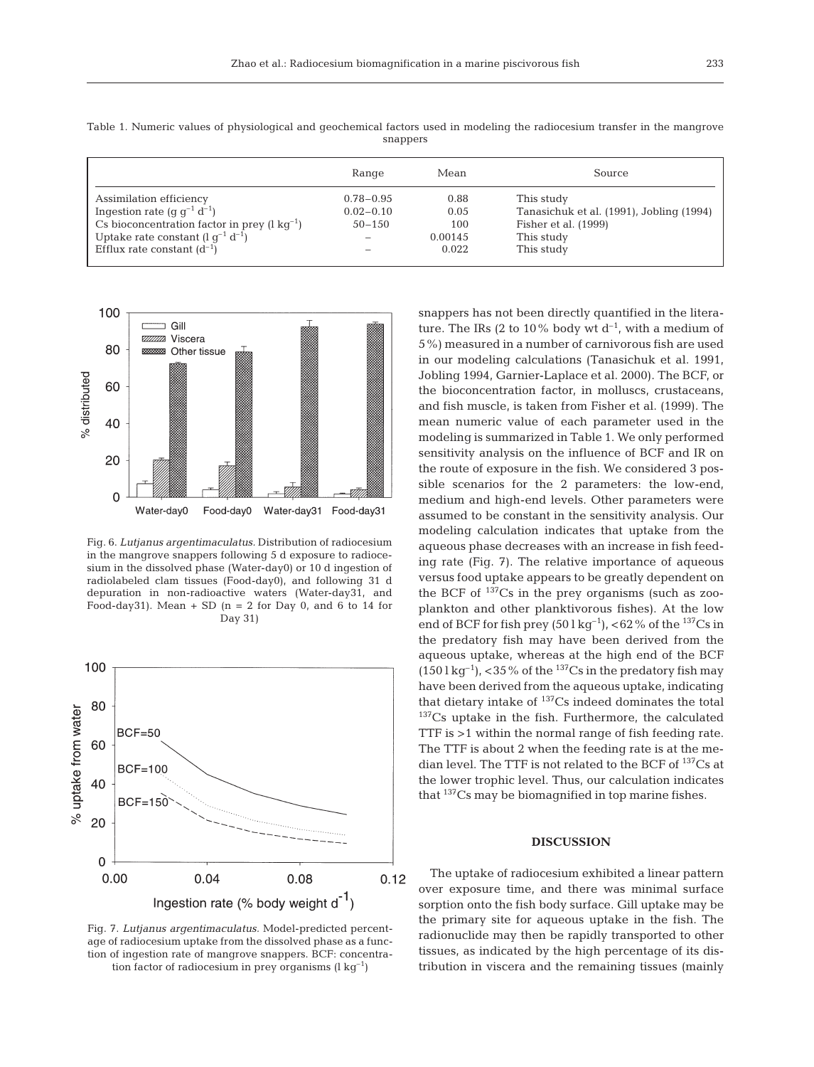| snappers |       |      |             |  |
|----------|-------|------|-------------|--|
|          | Range | Mean | 'ource<br>. |  |

Table 1. Numeric values of physiological and geochemical factors used in modeling the radiocesium transfer in the mangrove

|                                                          | Range         | Mean    | Source                                   |
|----------------------------------------------------------|---------------|---------|------------------------------------------|
| Assimilation efficiency                                  | $0.78 - 0.95$ | 0.88    | This study                               |
| Ingestion rate (g $q^{-1} d^{-1}$ )                      | $0.02 - 0.10$ | 0.05    | Tanasichuk et al. (1991), Jobling (1994) |
| Cs bioconcentration factor in prey $(l \text{ kg}^{-1})$ | $50 - 150$    | 100     | Fisher et al. (1999)                     |
| Uptake rate constant $(l q^{-1} d^{-1})$                 |               | 0.00145 | This study                               |
| Efflux rate constant $(d^{-1})$                          |               | 0.022   | This study                               |
|                                                          |               |         |                                          |



Fig. 6. *Lutjanus argentimaculatus.* Distribution of radiocesium in the mangrove snappers following 5 d exposure to radiocesium in the dissolved phase (Water-day0) or 10 d ingestion of radiolabeled clam tissues (Food-day0), and following 31 d depuration in non-radioactive waters (Water-day31, and Food-day31). Mean  $+$  SD (n = 2 for Day 0, and 6 to 14 for Day 31)



Fig. 7. *Lutjanus argentimaculatus.* Model-predicted percentage of radiocesium uptake from the dissolved phase as a function of ingestion rate of mangrove snappers. BCF: concentration factor of radiocesium in prey organisms  $(l \lg^{-1})$ 

snappers has not been directly quantified in the literature. The IRs (2 to 10% body wt  $d^{-1}$ , with a medium of 5%) measured in a number of carnivorous fish are used in our modeling calculations (Tanasichuk et al. 1991, Jobling 1994, Garnier-Laplace et al. 2000). The BCF, or the bioconcentration factor, in molluscs, crustaceans, and fish muscle, is taken from Fisher et al. (1999). The mean numeric value of each parameter used in the modeling is summarized in Table 1. We only performed sensitivity analysis on the influence of BCF and IR on the route of exposure in the fish. We considered 3 possible scenarios for the 2 parameters: the low-end, medium and high-end levels. Other parameters were assumed to be constant in the sensitivity analysis. Our modeling calculation indicates that uptake from the aqueous phase decreases with an increase in fish feeding rate (Fig. 7). The relative importance of aqueous versus food uptake appears to be greatly dependent on the BCF of  $137$ Cs in the prey organisms (such as zooplankton and other planktivorous fishes). At the low end of BCF for fish prey  $(50 \lg \text{kg}^{-1})$ , <62% of the  $^{137}$ Cs in the predatory fish may have been derived from the aqueous uptake, whereas at the high end of the BCF  $(150 \lg^{-1})$ , <35% of the <sup>137</sup>Cs in the predatory fish may have been derived from the aqueous uptake, indicating that dietary intake of  $^{137}Cs$  indeed dominates the total <sup>137</sup>Cs uptake in the fish. Furthermore, the calculated TTF is >1 within the normal range of fish feeding rate. The TTF is about 2 when the feeding rate is at the median level. The TTF is not related to the BCF of <sup>137</sup>Cs at the lower trophic level. Thus, our calculation indicates that 137Cs may be biomagnified in top marine fishes.

### **DISCUSSION**

The uptake of radiocesium exhibited a linear pattern over exposure time, and there was minimal surface sorption onto the fish body surface. Gill uptake may be the primary site for aqueous uptake in the fish. The radionuclide may then be rapidly transported to other tissues, as indicated by the high percentage of its distribution in viscera and the remaining tissues (mainly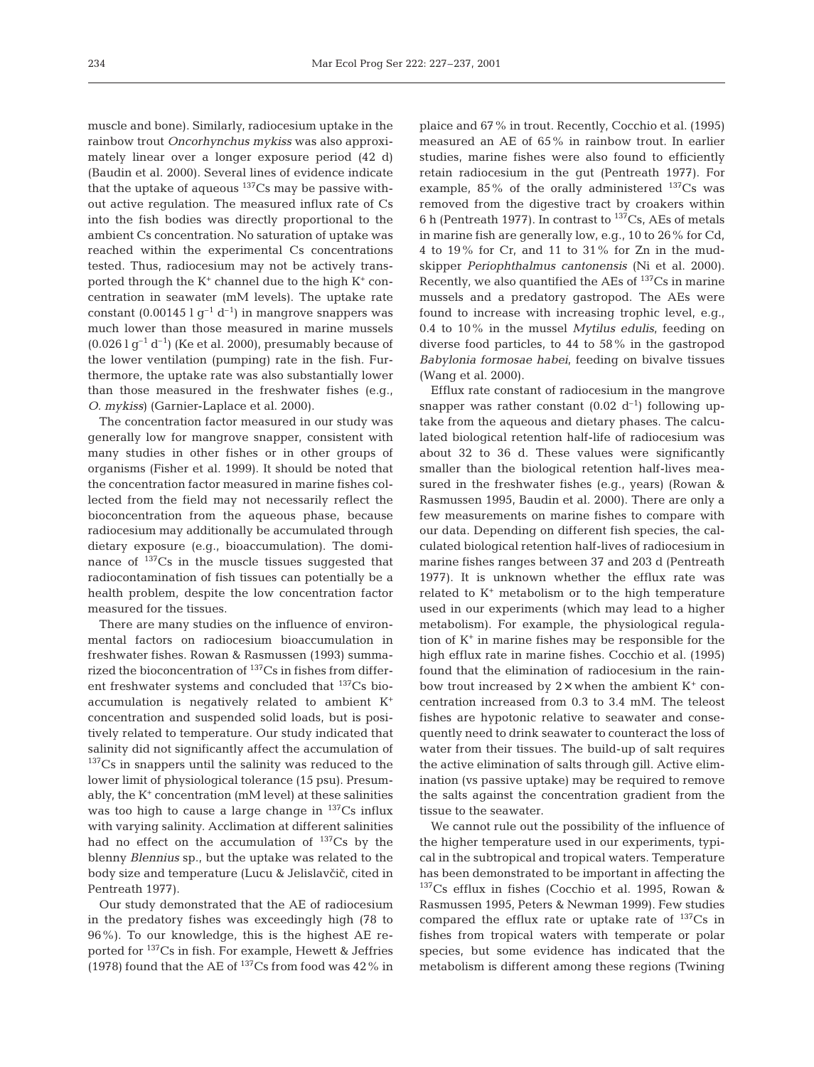muscle and bone). Similarly, radiocesium uptake in the rainbow trout *Oncorhynchus mykiss* was also approximately linear over a longer exposure period (42 d) (Baudin et al. 2000). Several lines of evidence indicate that the uptake of aqueous  $137$ Cs may be passive without active regulation. The measured influx rate of Cs into the fish bodies was directly proportional to the ambient Cs concentration. No saturation of uptake was reached within the experimental Cs concentrations tested. Thus, radiocesium may not be actively transported through the  $K^+$  channel due to the high  $K^+$  concentration in seawater (mM levels). The uptake rate constant  $(0.00145 \lg^{-1} d^{-1})$  in mangrove snappers was much lower than those measured in marine mussels  $(0.026 \lg^{-1} d^{-1})$  (Ke et al. 2000), presumably because of the lower ventilation (pumping) rate in the fish. Furthermore, the uptake rate was also substantially lower than those measured in the freshwater fishes (e.g., *O. mykiss*) (Garnier-Laplace et al. 2000).

The concentration factor measured in our study was generally low for mangrove snapper, consistent with many studies in other fishes or in other groups of organisms (Fisher et al. 1999). It should be noted that the concentration factor measured in marine fishes collected from the field may not necessarily reflect the bioconcentration from the aqueous phase, because radiocesium may additionally be accumulated through dietary exposure (e.g., bioaccumulation). The dominance of  $137\text{Cs}$  in the muscle tissues suggested that radiocontamination of fish tissues can potentially be a health problem, despite the low concentration factor measured for the tissues.

There are many studies on the influence of environmental factors on radiocesium bioaccumulation in freshwater fishes. Rowan & Rasmussen (1993) summarized the bioconcentration of 137Cs in fishes from different freshwater systems and concluded that  $137Cs$  bioaccumulation is negatively related to ambient K+ concentration and suspended solid loads, but is positively related to temperature. Our study indicated that salinity did not significantly affect the accumulation of  $137Cs$  in snappers until the salinity was reduced to the lower limit of physiological tolerance (15 psu). Presumably, the  $K^+$  concentration (mM level) at these salinities was too high to cause a large change in  $137Cs$  influx with varying salinity. Acclimation at different salinities had no effect on the accumulation of  $^{137}Cs$  by the blenny *Blennius* sp., but the uptake was related to the body size and temperature (Lucu & Jelislavčič, cited in Pentreath 1977).

Our study demonstrated that the AE of radiocesium in the predatory fishes was exceedingly high (78 to 96%). To our knowledge, this is the highest AE reported for 137Cs in fish. For example, Hewett & Jeffries (1978) found that the AE of  $^{137}Cs$  from food was 42% in

plaice and 67% in trout. Recently, Cocchio et al. (1995) measured an AE of 65% in rainbow trout. In earlier studies, marine fishes were also found to efficiently retain radiocesium in the gut (Pentreath 1977). For example, 85% of the orally administered  $^{137}Cs$  was removed from the digestive tract by croakers within 6 h (Pentreath 1977). In contrast to  $137$ Cs, AEs of metals in marine fish are generally low, e.g., 10 to 26% for Cd, 4 to 19% for Cr, and 11 to 31% for Zn in the mudskipper *Periophthalmus cantonensis* (Ni et al. 2000). Recently, we also quantified the AEs of  $137$ Cs in marine mussels and a predatory gastropod. The AEs were found to increase with increasing trophic level, e.g., 0.4 to 10% in the mussel *Mytilus edulis*, feeding on diverse food particles, to 44 to 58% in the gastropod *Babylonia formosae habei*, feeding on bivalve tissues (Wang et al. 2000).

Efflux rate constant of radiocesium in the mangrove snapper was rather constant  $(0.02 d^{-1})$  following uptake from the aqueous and dietary phases. The calculated biological retention half-life of radiocesium was about 32 to 36 d. These values were significantly smaller than the biological retention half-lives measured in the freshwater fishes (e.g., years) (Rowan & Rasmussen 1995, Baudin et al. 2000). There are only a few measurements on marine fishes to compare with our data. Depending on different fish species, the calculated biological retention half-lives of radiocesium in marine fishes ranges between 37 and 203 d (Pentreath 1977). It is unknown whether the efflux rate was related to  $K^+$  metabolism or to the high temperature used in our experiments (which may lead to a higher metabolism). For example, the physiological regulation of  $K^+$  in marine fishes may be responsible for the high efflux rate in marine fishes. Cocchio et al. (1995) found that the elimination of radiocesium in the rainbow trout increased by  $2\times$  when the ambient  $K^+$  concentration increased from 0.3 to 3.4 mM. The teleost fishes are hypotonic relative to seawater and consequently need to drink seawater to counteract the loss of water from their tissues. The build-up of salt requires the active elimination of salts through gill. Active elimination (vs passive uptake) may be required to remove the salts against the concentration gradient from the tissue to the seawater.

We cannot rule out the possibility of the influence of the higher temperature used in our experiments, typical in the subtropical and tropical waters. Temperature has been demonstrated to be important in affecting the  $137Cs$  efflux in fishes (Cocchio et al. 1995, Rowan & Rasmussen 1995, Peters & Newman 1999). Few studies compared the efflux rate or uptake rate of  $137Cs$  in fishes from tropical waters with temperate or polar species, but some evidence has indicated that the metabolism is different among these regions (Twining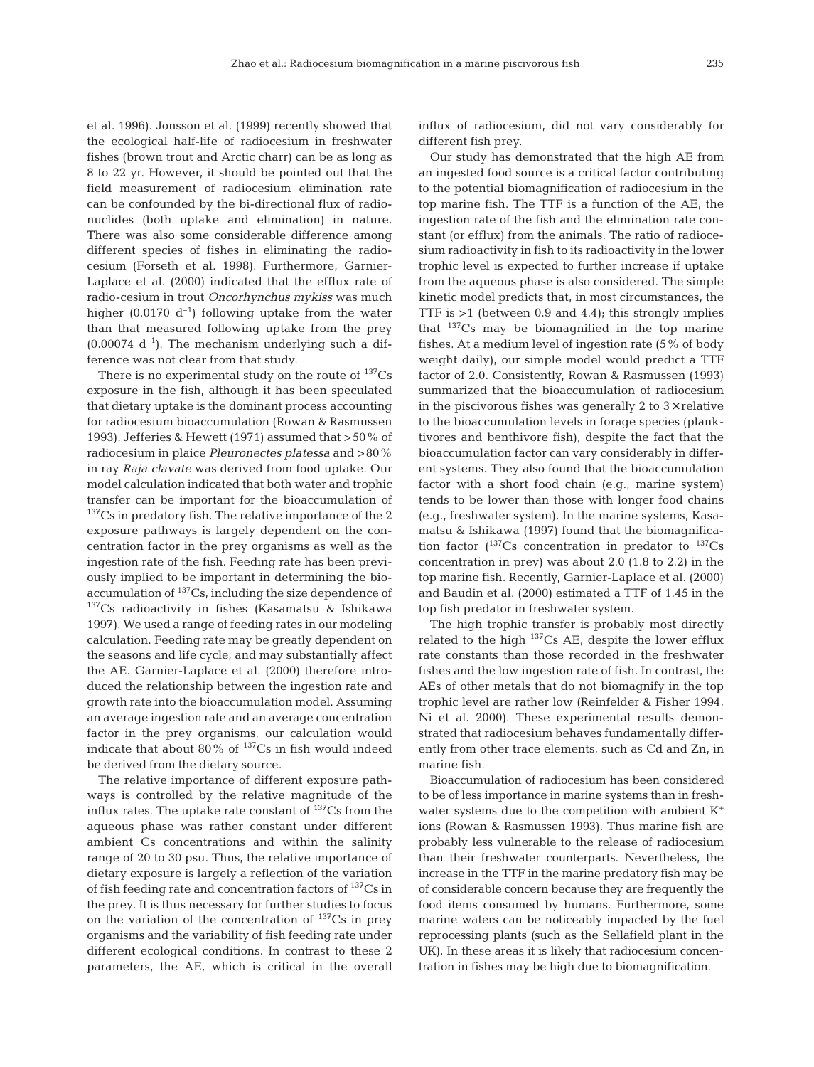et al. 1996). Jonsson et al. (1999) recently showed that the ecological half-life of radiocesium in freshwater fishes (brown trout and Arctic charr) can be as long as 8 to 22 yr. However, it should be pointed out that the field measurement of radiocesium elimination rate can be confounded by the bi-directional flux of radionuclides (both uptake and elimination) in nature. There was also some considerable difference among different species of fishes in eliminating the radiocesium (Forseth et al. 1998). Furthermore, Garnier-Laplace et al. (2000) indicated that the efflux rate of radio-cesium in trout *Oncorhynchus mykiss* was much higher (0.0170  $d^{-1}$ ) following uptake from the water than that measured following uptake from the prey  $(0.00074 d^{-1})$ . The mechanism underlying such a difference was not clear from that study.

There is no experimental study on the route of  $137Cs$ exposure in the fish, although it has been speculated that dietary uptake is the dominant process accounting for radiocesium bioaccumulation (Rowan & Rasmussen 1993). Jefferies & Hewett (1971) assumed that >50% of radiocesium in plaice *Pleuronectes platessa* and >80% in ray *Raja clavate* was derived from food uptake. Our model calculation indicated that both water and trophic transfer can be important for the bioaccumulation of  $137Cs$  in predatory fish. The relative importance of the 2 exposure pathways is largely dependent on the concentration factor in the prey organisms as well as the ingestion rate of the fish. Feeding rate has been previously implied to be important in determining the bioaccumulation of  $137Cs$ , including the size dependence of 137Cs radioactivity in fishes (Kasamatsu & Ishikawa 1997). We used a range of feeding rates in our modeling calculation. Feeding rate may be greatly dependent on the seasons and life cycle, and may substantially affect the AE. Garnier-Laplace et al. (2000) therefore introduced the relationship between the ingestion rate and growth rate into the bioaccumulation model. Assuming an average ingestion rate and an average concentration factor in the prey organisms, our calculation would indicate that about 80% of  $^{137}Cs$  in fish would indeed be derived from the dietary source.

The relative importance of different exposure pathways is controlled by the relative magnitude of the influx rates. The uptake rate constant of  $^{137}Cs$  from the aqueous phase was rather constant under different ambient Cs concentrations and within the salinity range of 20 to 30 psu. Thus, the relative importance of dietary exposure is largely a reflection of the variation of fish feeding rate and concentration factors of  $^{137}Cs$  in the prey. It is thus necessary for further studies to focus on the variation of the concentration of  $^{137}Cs$  in prey organisms and the variability of fish feeding rate under different ecological conditions. In contrast to these 2 parameters, the AE, which is critical in the overall

influx of radiocesium, did not vary considerably for different fish prey.

Our study has demonstrated that the high AE from an ingested food source is a critical factor contributing to the potential biomagnification of radiocesium in the top marine fish. The TTF is a function of the AE, the ingestion rate of the fish and the elimination rate constant (or efflux) from the animals. The ratio of radiocesium radioactivity in fish to its radioactivity in the lower trophic level is expected to further increase if uptake from the aqueous phase is also considered. The simple kinetic model predicts that, in most circumstances, the TTF is  $>1$  (between 0.9 and 4.4); this strongly implies that 137Cs may be biomagnified in the top marine fishes. At a medium level of ingestion rate (5% of body weight daily), our simple model would predict a TTF factor of 2.0. Consistently, Rowan & Rasmussen (1993) summarized that the bioaccumulation of radiocesium in the piscivorous fishes was generally 2 to  $3\times$  relative to the bioaccumulation levels in forage species (planktivores and benthivore fish), despite the fact that the bioaccumulation factor can vary considerably in different systems. They also found that the bioaccumulation factor with a short food chain (e.g., marine system) tends to be lower than those with longer food chains (e.g., freshwater system). In the marine systems, Kasamatsu & Ishikawa (1997) found that the biomagnification factor  $(^{137}\mathrm{Cs}$  concentration in predator to  $^{137}\mathrm{Cs}$ concentration in prey) was about 2.0 (1.8 to 2.2) in the top marine fish. Recently, Garnier-Laplace et al. (2000) and Baudin et al. (2000) estimated a TTF of 1.45 in the top fish predator in freshwater system.

The high trophic transfer is probably most directly related to the high  $137$ Cs AE, despite the lower efflux rate constants than those recorded in the freshwater fishes and the low ingestion rate of fish. In contrast, the AEs of other metals that do not biomagnify in the top trophic level are rather low (Reinfelder & Fisher 1994, Ni et al. 2000). These experimental results demonstrated that radiocesium behaves fundamentally differently from other trace elements, such as Cd and Zn, in marine fish.

Bioaccumulation of radiocesium has been considered to be of less importance in marine systems than in freshwater systems due to the competition with ambient  $K^+$ ions (Rowan & Rasmussen 1993). Thus marine fish are probably less vulnerable to the release of radiocesium than their freshwater counterparts. Nevertheless, the increase in the TTF in the marine predatory fish may be of considerable concern because they are frequently the food items consumed by humans. Furthermore, some marine waters can be noticeably impacted by the fuel reprocessing plants (such as the Sellafield plant in the UK). In these areas it is likely that radiocesium concentration in fishes may be high due to biomagnification.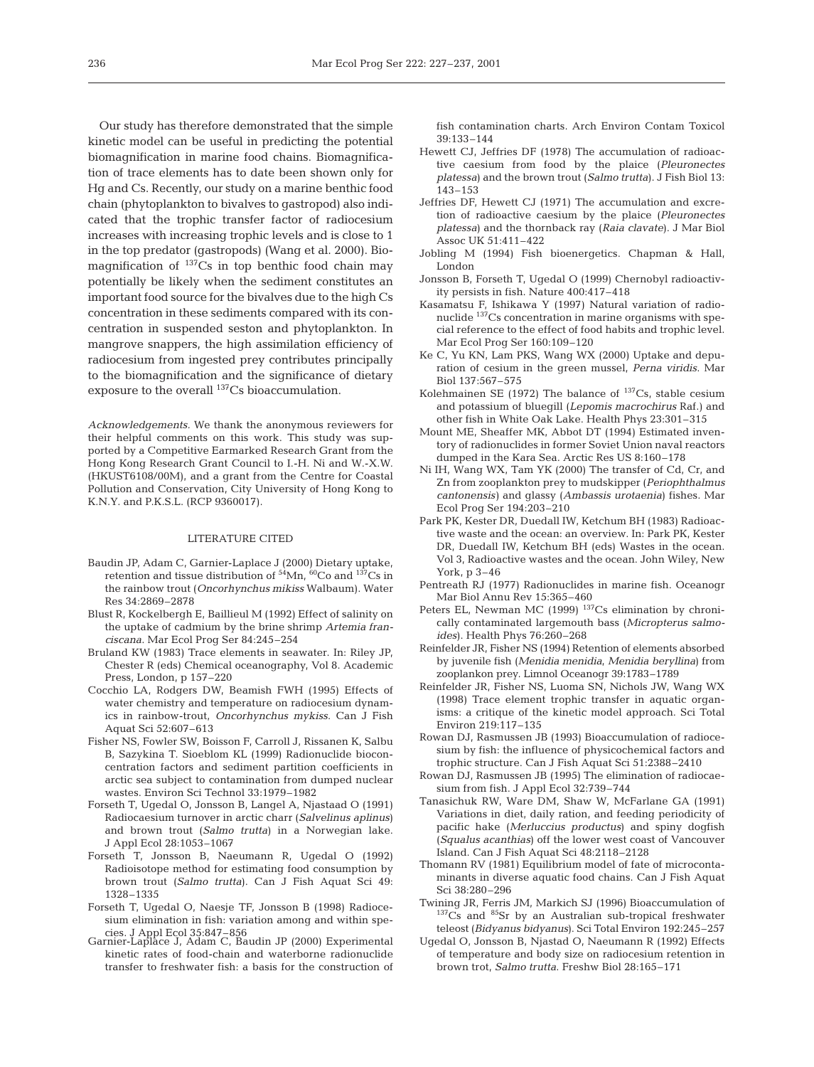Our study has therefore demonstrated that the simple kinetic model can be useful in predicting the potential biomagnification in marine food chains. Biomagnification of trace elements has to date been shown only for Hg and Cs. Recently, our study on a marine benthic food chain (phytoplankton to bivalves to gastropod) also indicated that the trophic transfer factor of radiocesium increases with increasing trophic levels and is close to 1 in the top predator (gastropods) (Wang et al. 2000). Biomagnification of  $137$ Cs in top benthic food chain may potentially be likely when the sediment constitutes an important food source for the bivalves due to the high Cs concentration in these sediments compared with its concentration in suspended seston and phytoplankton. In mangrove snappers, the high assimilation efficiency of radiocesium from ingested prey contributes principally to the biomagnification and the significance of dietary exposure to the overall 137Cs bioaccumulation.

*Acknowledgements.* We thank the anonymous reviewers for their helpful comments on this work. This study was supported by a Competitive Earmarked Research Grant from the Hong Kong Research Grant Council to I.-H. Ni and W.-X.W. (HKUST6108/00M), and a grant from the Centre for Coastal Pollution and Conservation, City University of Hong Kong to K.N.Y. and P.K.S.L. (RCP 9360017).

#### LITERATURE CITED

- Baudin JP, Adam C, Garnier-Laplace J (2000) Dietary uptake, retention and tissue distribution of  $54$ Mn,  $60$ Co and  $137$ Cs in the rainbow trout (*Oncorhynchus mikiss* Walbaum). Water Res 34:2869–2878
- Blust R, Kockelbergh E, Baillieul M (1992) Effect of salinity on the uptake of cadmium by the brine shrimp *Artemia franciscana*. Mar Ecol Prog Ser 84:245–254
- Bruland KW (1983) Trace elements in seawater. In: Riley JP, Chester R (eds) Chemical oceanography, Vol 8. Academic Press, London, p 157–220
- Cocchio LA, Rodgers DW, Beamish FWH (1995) Effects of water chemistry and temperature on radiocesium dynamics in rainbow-trout, *Oncorhynchus mykiss*. Can J Fish Aquat Sci 52:607–613
- Fisher NS, Fowler SW, Boisson F, Carroll J, Rissanen K, Salbu B, Sazykina T. Sioeblom KL (1999) Radionuclide bioconcentration factors and sediment partition coefficients in arctic sea subject to contamination from dumped nuclear wastes. Environ Sci Technol 33:1979–1982
- Forseth T, Ugedal O, Jonsson B, Langel A, Njastaad O (1991) Radiocaesium turnover in arctic charr (*Salvelinus aplinus*) and brown trout (*Salmo trutta*) in a Norwegian lake. J Appl Ecol 28:1053–1067
- Forseth T, Jonsson B, Naeumann R, Ugedal O (1992) Radioisotope method for estimating food consumption by brown trout (*Salmo trutta*). Can J Fish Aquat Sci 49: 1328–1335
- Forseth T, Ugedal O, Naesje TF, Jonsson B (1998) Radiocesium elimination in fish: variation among and within species. J Appl Ecol 35:847–856 Garnier-Laplace J, Adam C, Baudin JP (2000) Experimental
- kinetic rates of food-chain and waterborne radionuclide transfer to freshwater fish: a basis for the construction of

fish contamination charts. Arch Environ Contam Toxicol 39:133–144

- Hewett CJ, Jeffries DF (1978) The accumulation of radioactive caesium from food by the plaice (*Pleuronectes platessa*) and the brown trout (*Salmo trutta*). J Fish Biol 13: 143–153
- Jeffries DF, Hewett CJ (1971) The accumulation and excretion of radioactive caesium by the plaice (*Pleuronectes platessa*) and the thornback ray (*Raia clavate*). J Mar Biol Assoc UK 51:411–422
- Jobling M (1994) Fish bioenergetics. Chapman & Hall, London
- Jonsson B, Forseth T, Ugedal O (1999) Chernobyl radioactivity persists in fish. Nature 400:417–418
- Kasamatsu F, Ishikawa Y (1997) Natural variation of radionuclide 137Cs concentration in marine organisms with special reference to the effect of food habits and trophic level. Mar Ecol Prog Ser 160:109–120
- Ke C, Yu KN, Lam PKS, Wang WX (2000) Uptake and depuration of cesium in the green mussel, *Perna viridis*. Mar Biol 137:567–575
- Kolehmainen SE (1972) The balance of  $^{137}Cs$ , stable cesium and potassium of bluegill (*Lepomis macrochirus* Raf.) and other fish in White Oak Lake. Health Phys 23:301–315
- Mount ME, Sheaffer MK, Abbot DT (1994) Estimated inventory of radionuclides in former Soviet Union naval reactors dumped in the Kara Sea. Arctic Res US 8:160–178
- Ni IH, Wang WX, Tam YK (2000) The transfer of Cd, Cr, and Zn from zooplankton prey to mudskipper (*Periophthalmus cantonensis)* and glassy (*Ambassis urotaenia*) fishes. Mar Ecol Prog Ser 194:203–210
- Park PK, Kester DR, Duedall IW, Ketchum BH (1983) Radioactive waste and the ocean: an overview. In: Park PK, Kester DR, Duedall IW, Ketchum BH (eds) Wastes in the ocean. Vol 3, Radioactive wastes and the ocean. John Wiley, New York, p 3–46
- Pentreath RJ (1977) Radionuclides in marine fish. Oceanogr Mar Biol Annu Rev 15:365–460
- Peters EL, Newman MC (1999)  $^{137}$ Cs elimination by chronically contaminated largemouth bass (*Micropterus salmoides*). Health Phys 76:260–268
- Reinfelder JR, Fisher NS (1994) Retention of elements absorbed by juvenile fish (*Menidia menidia*, *Menidia beryllina*) from zooplankon prey. Limnol Oceanogr 39:1783–1789
- Reinfelder JR, Fisher NS, Luoma SN, Nichols JW, Wang WX (1998) Trace element trophic transfer in aquatic organisms: a critique of the kinetic model approach. Sci Total Environ 219:117–135
- Rowan DJ, Rasmussen JB (1993) Bioaccumulation of radiocesium by fish: the influence of physicochemical factors and trophic structure. Can J Fish Aquat Sci 51:2388–2410
- Rowan DJ, Rasmussen JB (1995) The elimination of radiocaesium from fish. J Appl Ecol 32:739–744
- Tanasichuk RW, Ware DM, Shaw W, McFarlane GA (1991) Variations in diet, daily ration, and feeding periodicity of pacific hake (*Merluccius productus*) and spiny dogfish (*Squalus acanthias*) off the lower west coast of Vancouver Island. Can J Fish Aquat Sci 48:2118–2128
- Thomann RV (1981) Equilibrium model of fate of microcontaminants in diverse aquatic food chains. Can J Fish Aquat Sci 38:280–296
- Twining JR, Ferris JM, Markich SJ (1996) Bioaccumulation of <sup>137</sup>Cs and <sup>85</sup>Sr by an Australian sub-tropical freshwater teleost (*Bidyanus bidyanus*). Sci Total Environ 192:245–257
- Ugedal O, Jonsson B, Njastad O, Naeumann R (1992) Effects of temperature and body size on radiocesium retention in brown trot, *Salmo trutta*. Freshw Biol 28:165–171